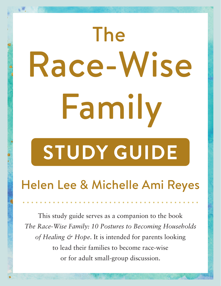# The Race-Wise Family **STUDY GUIDE**

Helen Lee & Michelle Ami Reyes

This study guide serves as a companion to the book *The Race-Wise Family: 10 Postures to Becoming Households of Healing & Hope*. It is intended for parents looking to lead their families to become race-wise or for adult small-group discussion.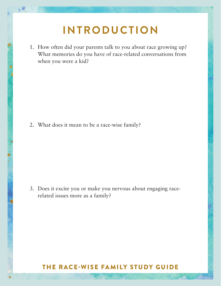## **INTRODUCTION**

1. How often did your parents talk to you about race growing up? What memories do you have of race-related conversations from when you were a kid?

2. What does it mean to be a race-wise family?

69

3. Does it excite you or make you nervous about engaging racerelated issues more as a family?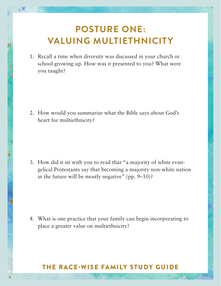## **POSTURE ONE: VALUING MULTIETHNICITY**

1. Recall a time when diversity was discussed in your church or school growing up. How was it presented to you? What were you taught?

69

2. How would you summarize what the Bible says about God's heart for multiethnicity?

3. How did it sit with you to read that "a majority of white evangelical Protestants say that becoming a majority non-white nation in the future will be mostly negative" (pp. 9–10)?

4. What is one practice that your family can begin incorporating to place a greater value on multiethnicity?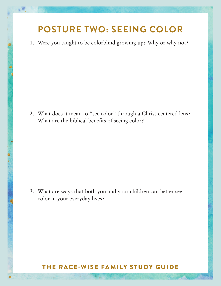## **POSTURE TWO: SEEING COLOR**

1. Were you taught to be colorblind growing up? Why or why not?

鄉

2. What does it mean to "see color" through a Christ-centered lens? What are the biblical benefits of seeing color?

3. What are ways that both you and your children can better see color in your everyday lives?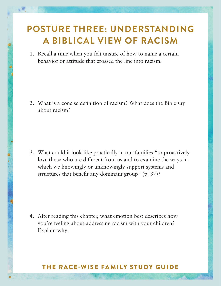### **POSTURE THREE: UNDERSTANDING A BIBLICAL VIEW OF RACISM**

1. Recall a time when you felt unsure of how to name a certain behavior or attitude that crossed the line into racism.

2. What is a concise definition of racism? What does the Bible say about racism?

3. What could it look like practically in our families "to proactively love those who are different from us and to examine the ways in which we knowingly or unknowingly support systems and structures that benefit any dominant group" (p. 37)?

4. After reading this chapter, what emotion best describes how you're feeling about addressing racism with your children? Explain why.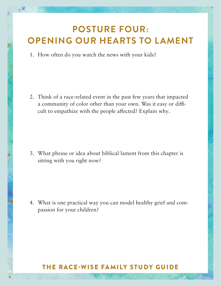#### **POSTURE FOUR. ENING AUD HEADTS TO LAME POSTURE FOUR: OPENING OUR HEARTS TO LAMENT**

 $\mathcal{L} = \mathcal{L} \times \mathcal{L}$  and  $\mathcal{L} = \mathcal{L} \times \mathcal{L}$  unsure of how to name a certain be-1. How often do you watch the news with your kids?

2. Think of a race-related event in the past few years that impacted a community of color other than your own. Was it easy or difficult to empathize with the people affected? Explain why.

3. What phrase or idea about biblical lament from this chapter is sitting with you right now?

4. What is one practical way you can model healthy grief and compassion for your children?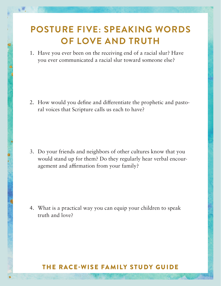## **POSTURE FIVE: SPEAKING WORDS OF LOVE AND TRUTH**

1. Have you ever been on the receiving end of a racial slur? Have you ever communicated a racial slur toward someone else?

2. How would you define and differentiate the prophetic and pastoral voices that Scripture calls us each to have?

3. Do your friends and neighbors of other cultures know that you would stand up for them? Do they regularly hear verbal encouragement and affirmation from your family?

4. What is a practical way you can equip your children to speak truth and love?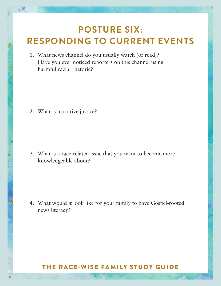## **POSTURE SIX: RESPONDING TO CURRENT EVENTS**

1. What news channel do you usually watch (or read)? Have you ever noticed reporters on this channel using harmful racial rhetoric?

2. What is narrative justice?

3. What is a race-related issue that you want to become more knowledgeable about?

4. What would it look like for your family to have Gospel-rooted news literacy?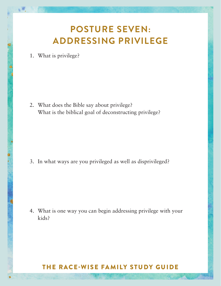## **POSTURE SEVEN: ADDRESSING PRIVILEGE**

1. What is privilege?

69

2. What does the Bible say about privilege? What is the biblical goal of deconstructing privilege?

3. In what ways are you privileged as well as disprivileged?

4. What is one way you can begin addressing privilege with your kids?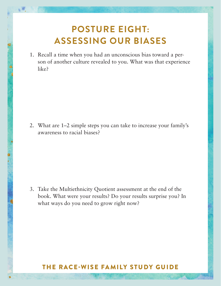## **POSTURE EIGHT: ASSESSING OUR BIASES**

1. Recall a time when you had an unconscious bias toward a person of another culture revealed to you. What was that experience like?

2. What are 1–2 simple steps you can take to increase your family's awareness to racial biases?

3. Take the Multiethnicity Quotient assessment at the end of the book. What were your results? Do your results surprise you? In what ways do you need to grow right now?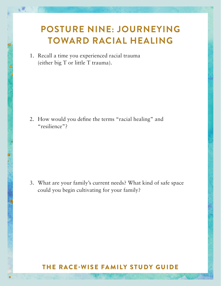## **POSTURE NINE: JOURNEYING TOWARD RACIAL HEALING**

1. Recall a time you experienced racial trauma (either big T or little T trauma).

鄉

2. How would you define the terms "racial healing" and "resilience"?

3. What are your family's current needs? What kind of safe space could you begin cultivating for your family?